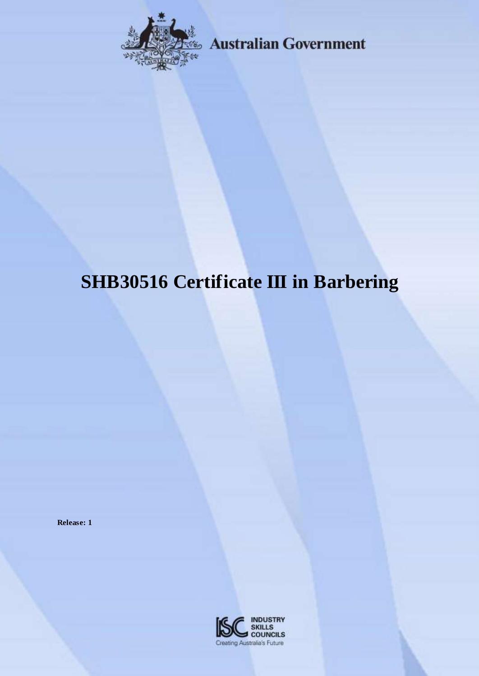

Australian Government

# **SHB30516 Certificate III in Barbering**

**Release: 1**

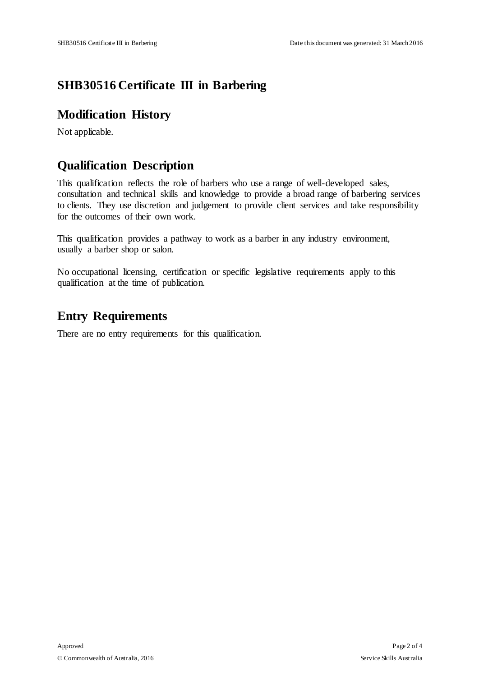## **SHB30516 Certificate III in Barbering**

#### **Modification History**

Not applicable.

#### **Qualification Description**

This qualification reflects the role of barbers who use a range of well-developed sales, consultation and technical skills and knowledge to provide a broad range of barbering services to clients. They use discretion and judgement to provide client services and take responsibility for the outcomes of their own work.

This qualification provides a pathway to work as a barber in any industry environment, usually a barber shop or salon.

No occupational licensing, certification or specific legislative requirements apply to this qualification at the time of publication.

### **Entry Requirements**

There are no entry requirements for this qualification.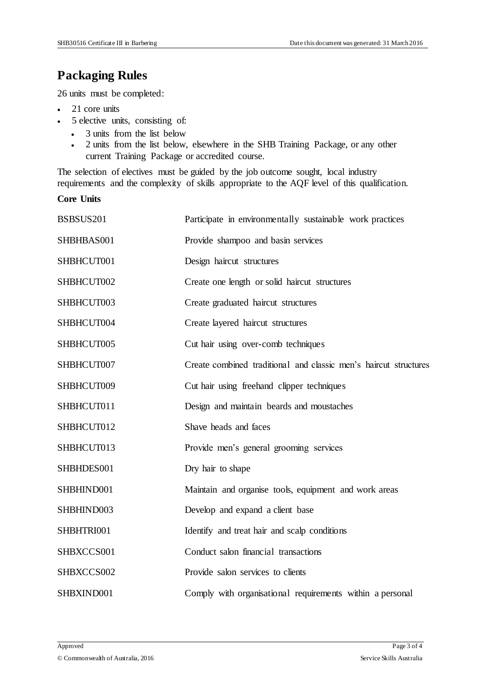#### **Packaging Rules**

26 units must be completed:

- 21 core units
- 5 elective units, consisting of:
	- 3 units from the list below
	- 2 units from the list below, elsewhere in the SHB Training Package, or any other current Training Package or accredited course.

The selection of electives must be guided by the job outcome sought, local industry requirements and the complexity of skills appropriate to the AQF level of this qualification.

**Core Units** 

| BSBSUS201  | Participate in environmentally sustainable work practices        |
|------------|------------------------------------------------------------------|
| SHBHBAS001 | Provide shampoo and basin services                               |
| SHBHCUT001 | Design haircut structures                                        |
| SHBHCUT002 | Create one length or solid haircut structures                    |
| SHBHCUT003 | Create graduated haircut structures                              |
| SHBHCUT004 | Create layered haircut structures                                |
| SHBHCUT005 | Cut hair using over-comb techniques                              |
| SHBHCUT007 | Create combined traditional and classic men's haircut structures |
| SHBHCUT009 | Cut hair using freehand clipper techniques                       |
| SHBHCUT011 | Design and maintain beards and moustaches                        |
| SHBHCUT012 | Shave heads and faces                                            |
| SHBHCUT013 | Provide men's general grooming services                          |
| SHBHDES001 | Dry hair to shape                                                |
| SHBHIND001 | Maintain and organise tools, equipment and work areas            |
| SHBHIND003 | Develop and expand a client base                                 |
| SHBHTRI001 | Identify and treat hair and scalp conditions                     |
| SHBXCCS001 | Conduct salon financial transactions                             |
| SHBXCCS002 | Provide salon services to clients                                |
| SHBXIND001 | Comply with organisational requirements within a personal        |